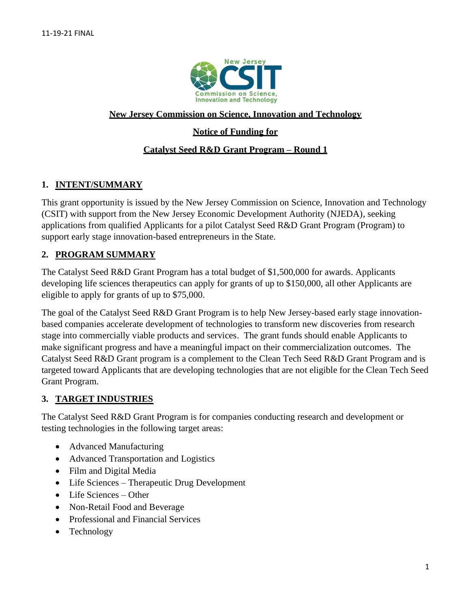

#### **New Jersey Commission on Science, Innovation and Technology**

## **Notice of Funding for**

#### **Catalyst Seed R&D Grant Program – Round 1**

## **1. INTENT/SUMMARY**

This grant opportunity is issued by the New Jersey Commission on Science, Innovation and Technology (CSIT) with support from the New Jersey Economic Development Authority (NJEDA), seeking applications from qualified Applicants for a pilot Catalyst Seed R&D Grant Program (Program) to support early stage innovation-based entrepreneurs in the State.

## **2. PROGRAM SUMMARY**

The Catalyst Seed R&D Grant Program has a total budget of \$1,500,000 for awards. Applicants developing life sciences therapeutics can apply for grants of up to \$150,000, all other Applicants are eligible to apply for grants of up to \$75,000.

The goal of the Catalyst Seed R&D Grant Program is to help New Jersey-based early stage innovationbased companies accelerate development of technologies to transform new discoveries from research stage into commercially viable products and services. The grant funds should enable Applicants to make significant progress and have a meaningful impact on their commercialization outcomes. The Catalyst Seed R&D Grant program is a complement to the Clean Tech Seed R&D Grant Program and is targeted toward Applicants that are developing technologies that are not eligible for the Clean Tech Seed Grant Program.

#### **3. TARGET INDUSTRIES**

The Catalyst Seed R&D Grant Program is for companies conducting research and development or testing technologies in the following target areas:

- Advanced Manufacturing
- Advanced Transportation and Logistics
- Film and Digital Media
- Life Sciences Therapeutic Drug Development
- Life Sciences Other
- Non-Retail Food and Beverage
- Professional and Financial Services
- Technology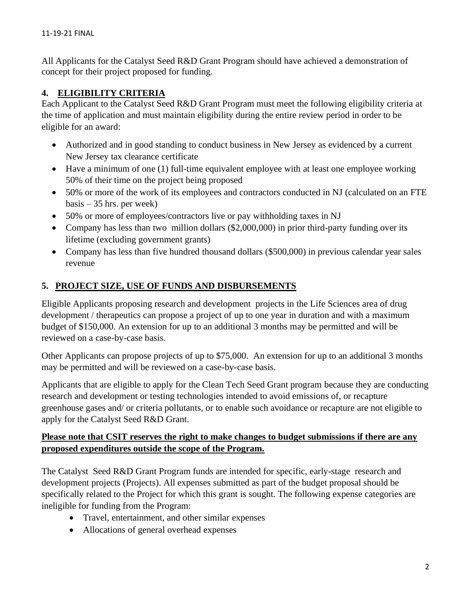All Applicants for the Catalyst Seed R&D Grant Program should have achieved a demonstration of concept for their project proposed for funding.

## **4. ELIGIBILITY CRITERIA**

Each Applicant to the Catalyst Seed R&D Grant Program must meet the following eligibility criteria at the time of application and must maintain eligibility during the entire review period in order to be eligible for an award:

- Authorized and in good standing to conduct business in New Jersey as evidenced by a current New Jersey tax clearance certificate
- Have a minimum of one (1) full-time equivalent employee with at least one employee working 50% of their time on the project being proposed
- 50% or more of the work of its employees and contractors conducted in NJ (calculated on an FTE basis – 35 hrs. per week)
- 50% or more of employees/contractors live or pay withholding taxes in NJ
- Company has less than two million dollars (\$2,000,000) in prior third-party funding over its lifetime (excluding government grants)
- Company has less than five hundred thousand dollars (\$500,000) in previous calendar year sales revenue

## **5. PROJECT SIZE, USE OF FUNDS AND DISBURSEMENTS**

Eligible Applicants proposing research and development projects in the Life Sciences area of drug development / therapeutics can propose a project of up to one year in duration and with a maximum budget of \$150,000. An extension for up to an additional 3 months may be permitted and will be reviewed on a case-by-case basis.

Other Applicants can propose projects of up to \$75,000. An extension for up to an additional 3 months may be permitted and will be reviewed on a case-by-case basis.

Applicants that are eligible to apply for the Clean Tech Seed Grant program because they are conducting research and development or testing technologies intended to avoid emissions of, or recapture greenhouse gases and/ or criteria pollutants, or to enable such avoidance or recapture are not eligible to apply for the Catalyst Seed R&D Grant.

## **Please note that CSIT reserves the right to make changes to budget submissions if there are any proposed expenditures outside the scope of the Program.**

The Catalyst Seed R&D Grant Program funds are intended for specific, early-stage research and development projects (Projects). All expenses submitted as part of the budget proposal should be specifically related to the Project for which this grant is sought. The following expense categories are ineligible for funding from the Program:

- Travel, entertainment, and other similar expenses
- Allocations of general overhead expenses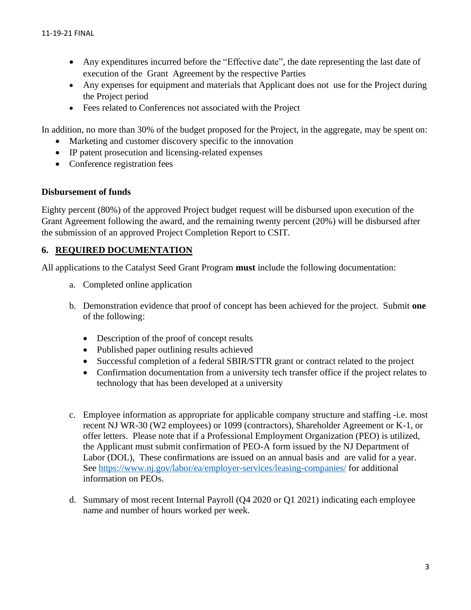- Any expenditures incurred before the "Effective date", the date representing the last date of execution of the Grant Agreement by the respective Parties
- Any expenses for equipment and materials that Applicant does not use for the Project during the Project period
- Fees related to Conferences not associated with the Project

In addition, no more than 30% of the budget proposed for the Project, in the aggregate, may be spent on:

- Marketing and customer discovery specific to the innovation
- IP patent prosecution and licensing-related expenses
- Conference registration fees

#### **Disbursement of funds**

Eighty percent (80%) of the approved Project budget request will be disbursed upon execution of the Grant Agreement following the award, and the remaining twenty percent (20%) will be disbursed after the submission of an approved Project Completion Report to CSIT.

## **6. REQUIRED DOCUMENTATION**

All applications to the Catalyst Seed Grant Program **must** include the following documentation:

- a. Completed online application
- b. Demonstration evidence that proof of concept has been achieved for the project. Submit **one**  of the following:
	- Description of the proof of concept results
	- Published paper outlining results achieved
	- Successful completion of a federal SBIR/STTR grant or contract related to the project
	- Confirmation documentation from a university tech transfer office if the project relates to technology that has been developed at a university
- c. Employee information as appropriate for applicable company structure and staffing -i.e. most recent NJ WR-30 (W2 employees) or 1099 (contractors), Shareholder Agreement or K-1, or offer letters. Please note that if a Professional Employment Organization (PEO) is utilized, the Applicant must submit confirmation of PEO-A form issued by the NJ Department of Labor (DOL), These confirmations are issued on an annual basis and are valid for a year. See<https://www.nj.gov/labor/ea/employer-services/leasing-companies/> for additional information on PEOs.
- d. Summary of most recent Internal Payroll (Q4 2020 or Q1 2021) indicating each employee name and number of hours worked per week.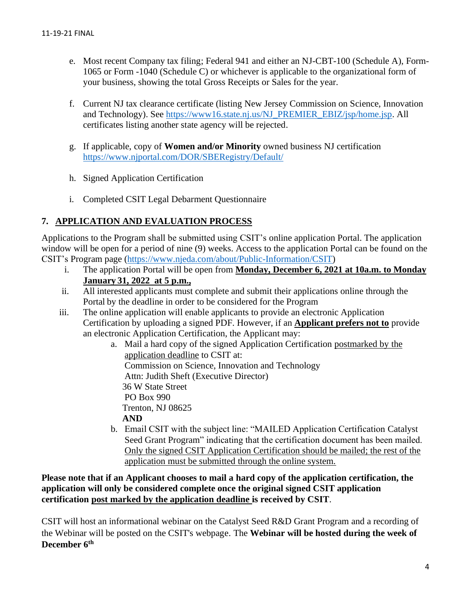- e. Most recent Company tax filing; Federal 941 and either an NJ-CBT-100 (Schedule A), Form-1065 or Form -1040 (Schedule C) or whichever is applicable to the organizational form of your business, showing the total Gross Receipts or Sales for the year.
- f. Current NJ tax clearance certificate (listing New Jersey Commission on Science, Innovation and Technology). See [https://www16.state.nj.us/NJ\\_PREMIER\\_EBIZ/jsp/home.jsp.](https://www16.state.nj.us/NJ_PREMIER_EBIZ/jsp/home.jsp) All certificates listing another state agency will be rejected.
- g. If applicable, copy of **Women and/or Minority** owned business NJ certification <https://www.njportal.com/DOR/SBERegistry/Default/>
- h. Signed Application Certification
- i. Completed CSIT Legal Debarment Questionnaire

# **7. APPLICATION AND EVALUATION PROCESS**

Applications to the Program shall be submitted using CSIT's online application Portal. The application window will be open for a period of nine (9) weeks. Access to the application Portal can be found on the CSIT's Program page [\(https://www.njeda.com/about/Public-Information/CSIT\)](https://www.njeda.com/about/Public-Information/CSIT)

- i. The application Portal will be open from **Monday, December 6, 2021 at 10a.m. to Monday January 31, 2022 at 5 p.m.,**
- ii. All interested applicants must complete and submit their applications online through the Portal by the deadline in order to be considered for the Program
- iii. The online application will enable applicants to provide an electronic Application Certification by uploading a signed PDF. However, if an **Applicant prefers not to** provide an electronic Application Certification, the Applicant may:
	- a. Mail a hard copy of the signed Application Certification postmarked by the application deadline to CSIT at:

Commission on Science, Innovation and Technology

Attn: Judith Sheft (Executive Director)

36 W State Street

PO Box 990

Trenton, NJ 08625

**AND** 

b. Email CSIT with the subject line: "MAILED Application Certification Catalyst Seed Grant Program" indicating that the certification document has been mailed. Only the signed CSIT Application Certification should be mailed; the rest of the application must be submitted through the online system.

**Please note that if an Applicant chooses to mail a hard copy of the application certification, the application will only be considered complete once the original signed CSIT application certification post marked by the application deadline is received by CSIT**.

CSIT will host an informational webinar on the Catalyst Seed R&D Grant Program and a recording of the Webinar will be posted on the CSIT's webpage. The **Webinar will be hosted during the week of December 6th**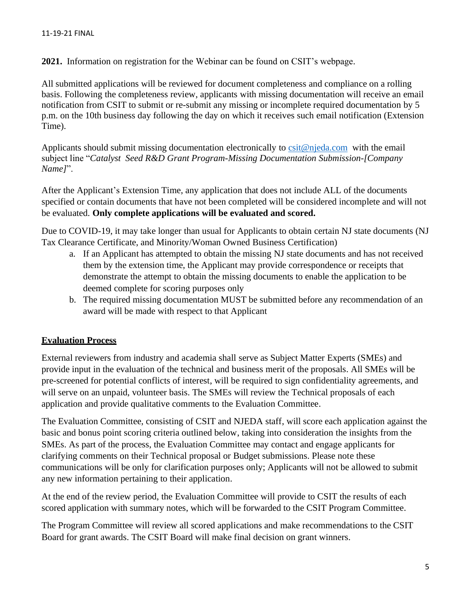**2021.** Information on registration for the Webinar can be found on CSIT's webpage.

All submitted applications will be reviewed for document completeness and compliance on a rolling basis. Following the completeness review, applicants with missing documentation will receive an email notification from CSIT to submit or re-submit any missing or incomplete required documentation by 5 p.m. on the 10th business day following the day on which it receives such email notification (Extension Time).

Applicants should submit missing documentation electronically to [csit@njeda.com](mailto:csit@njeda.com) with the email subject line "*Catalyst Seed R&D Grant Program-Missing Documentation Submission-[Company Name]*".

After the Applicant's Extension Time, any application that does not include ALL of the documents specified or contain documents that have not been completed will be considered incomplete and will not be evaluated. **Only complete applications will be evaluated and scored.**

Due to COVID-19, it may take longer than usual for Applicants to obtain certain NJ state documents (NJ Tax Clearance Certificate, and Minority/Woman Owned Business Certification)

- a. If an Applicant has attempted to obtain the missing NJ state documents and has not received them by the extension time, the Applicant may provide correspondence or receipts that demonstrate the attempt to obtain the missing documents to enable the application to be deemed complete for scoring purposes only
- b. The required missing documentation MUST be submitted before any recommendation of an award will be made with respect to that Applicant

#### **Evaluation Process**

External reviewers from industry and academia shall serve as Subject Matter Experts (SMEs) and provide input in the evaluation of the technical and business merit of the proposals. All SMEs will be pre-screened for potential conflicts of interest, will be required to sign confidentiality agreements, and will serve on an unpaid, volunteer basis. The SMEs will review the Technical proposals of each application and provide qualitative comments to the Evaluation Committee.

The Evaluation Committee, consisting of CSIT and NJEDA staff, will score each application against the basic and bonus point scoring criteria outlined below, taking into consideration the insights from the SMEs. As part of the process, the Evaluation Committee may contact and engage applicants for clarifying comments on their Technical proposal or Budget submissions. Please note these communications will be only for clarification purposes only; Applicants will not be allowed to submit any new information pertaining to their application.

At the end of the review period, the Evaluation Committee will provide to CSIT the results of each scored application with summary notes, which will be forwarded to the CSIT Program Committee.

The Program Committee will review all scored applications and make recommendations to the CSIT Board for grant awards. The CSIT Board will make final decision on grant winners.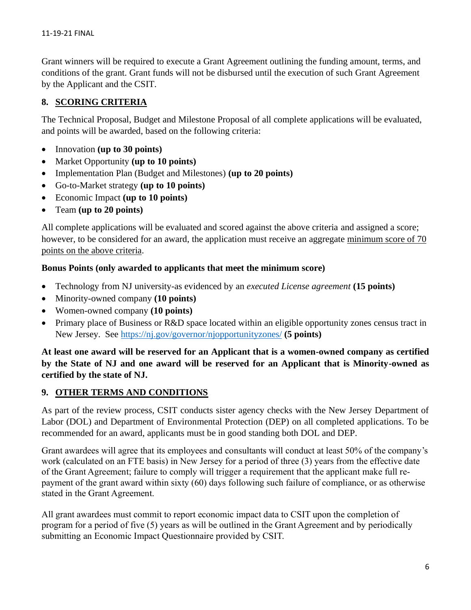Grant winners will be required to execute a Grant Agreement outlining the funding amount, terms, and conditions of the grant. Grant funds will not be disbursed until the execution of such Grant Agreement by the Applicant and the CSIT.

## **8. SCORING CRITERIA**

The Technical Proposal, Budget and Milestone Proposal of all complete applications will be evaluated, and points will be awarded, based on the following criteria:

- Innovation **(up to 30 points)**
- Market Opportunity **(up to 10 points)**
- Implementation Plan (Budget and Milestones) **(up to 20 points)**
- Go-to-Market strategy **(up to 10 points)**
- Economic Impact **(up to 10 points)**
- Team **(up to 20 points)**

All complete applications will be evaluated and scored against the above criteria and assigned a score; however, to be considered for an award, the application must receive an aggregate minimum score of 70 points on the above criteria.

#### **Bonus Points (only awarded to applicants that meet the minimum score)**

- Technology from NJ university-as evidenced by an *executed License agreement* **(15 points)**
- Minority-owned company **(10 points)**
- Women-owned company **(10 points)**
- Primary place of Business or R&D space located within an eligible opportunity zones census tract in New Jersey. See <https://nj.gov/governor/njopportunityzones/> **(5 points)**

**At least one award will be reserved for an Applicant that is a women-owned company as certified by the State of NJ and one award will be reserved for an Applicant that is Minority-owned as certified by the state of NJ.**

#### **9. OTHER TERMS AND CONDITIONS**

As part of the review process, CSIT conducts sister agency checks with the New Jersey Department of Labor (DOL) and Department of Environmental Protection (DEP) on all completed applications. To be recommended for an award, applicants must be in good standing both DOL and DEP.

Grant awardees will agree that its employees and consultants will conduct at least 50% of the company's work (calculated on an FTE basis) in New Jersey for a period of three (3) years from the effective date of the Grant Agreement; failure to comply will trigger a requirement that the applicant make full repayment of the grant award within sixty (60) days following such failure of compliance, or as otherwise stated in the Grant Agreement.

All grant awardees must commit to report economic impact data to CSIT upon the completion of program for a period of five (5) years as will be outlined in the Grant Agreement and by periodically submitting an Economic Impact Questionnaire provided by CSIT.